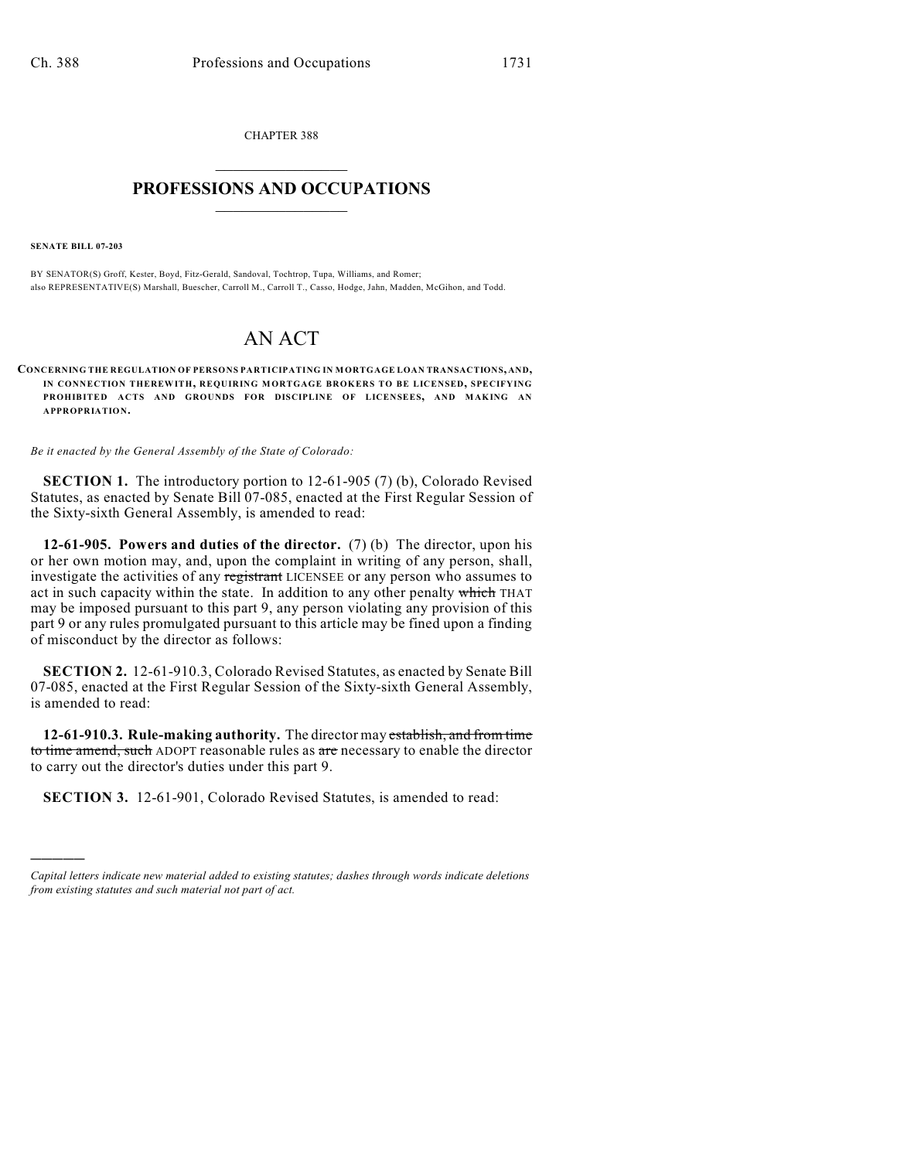CHAPTER 388  $\mathcal{L}_\text{max}$  . The set of the set of the set of the set of the set of the set of the set of the set of the set of the set of the set of the set of the set of the set of the set of the set of the set of the set of the set

## **PROFESSIONS AND OCCUPATIONS**  $\frac{1}{2}$  ,  $\frac{1}{2}$  ,  $\frac{1}{2}$  ,  $\frac{1}{2}$  ,  $\frac{1}{2}$  ,  $\frac{1}{2}$

**SENATE BILL 07-203**

)))))

BY SENATOR(S) Groff, Kester, Boyd, Fitz-Gerald, Sandoval, Tochtrop, Tupa, Williams, and Romer; also REPRESENTATIVE(S) Marshall, Buescher, Carroll M., Carroll T., Casso, Hodge, Jahn, Madden, McGihon, and Todd.

## AN ACT

**CONCERNING THE REGULATION OF PERSONS PARTICIPATING IN MORTGAGE LOAN TRANSACTIONS, AND, IN CONNECTION THEREWITH, REQUIRING MORTGAGE BROKERS TO BE LICENSED, SPECIFYING PROHIBITED ACTS AND GROUNDS FOR DISCIPLINE OF LICENSEES, AND MAKING AN APPROPRIATION.**

*Be it enacted by the General Assembly of the State of Colorado:*

**SECTION 1.** The introductory portion to 12-61-905 (7) (b), Colorado Revised Statutes, as enacted by Senate Bill 07-085, enacted at the First Regular Session of the Sixty-sixth General Assembly, is amended to read:

**12-61-905. Powers and duties of the director.** (7) (b) The director, upon his or her own motion may, and, upon the complaint in writing of any person, shall, investigate the activities of any registrant LICENSEE or any person who assumes to act in such capacity within the state. In addition to any other penalty which THAT may be imposed pursuant to this part 9, any person violating any provision of this part 9 or any rules promulgated pursuant to this article may be fined upon a finding of misconduct by the director as follows:

**SECTION 2.** 12-61-910.3, Colorado Revised Statutes, as enacted by Senate Bill 07-085, enacted at the First Regular Session of the Sixty-sixth General Assembly, is amended to read:

**12-61-910.3. Rule-making authority.** The director may establish, and from time to time amend, such ADOPT reasonable rules as are necessary to enable the director to carry out the director's duties under this part 9.

**SECTION 3.** 12-61-901, Colorado Revised Statutes, is amended to read:

*Capital letters indicate new material added to existing statutes; dashes through words indicate deletions from existing statutes and such material not part of act.*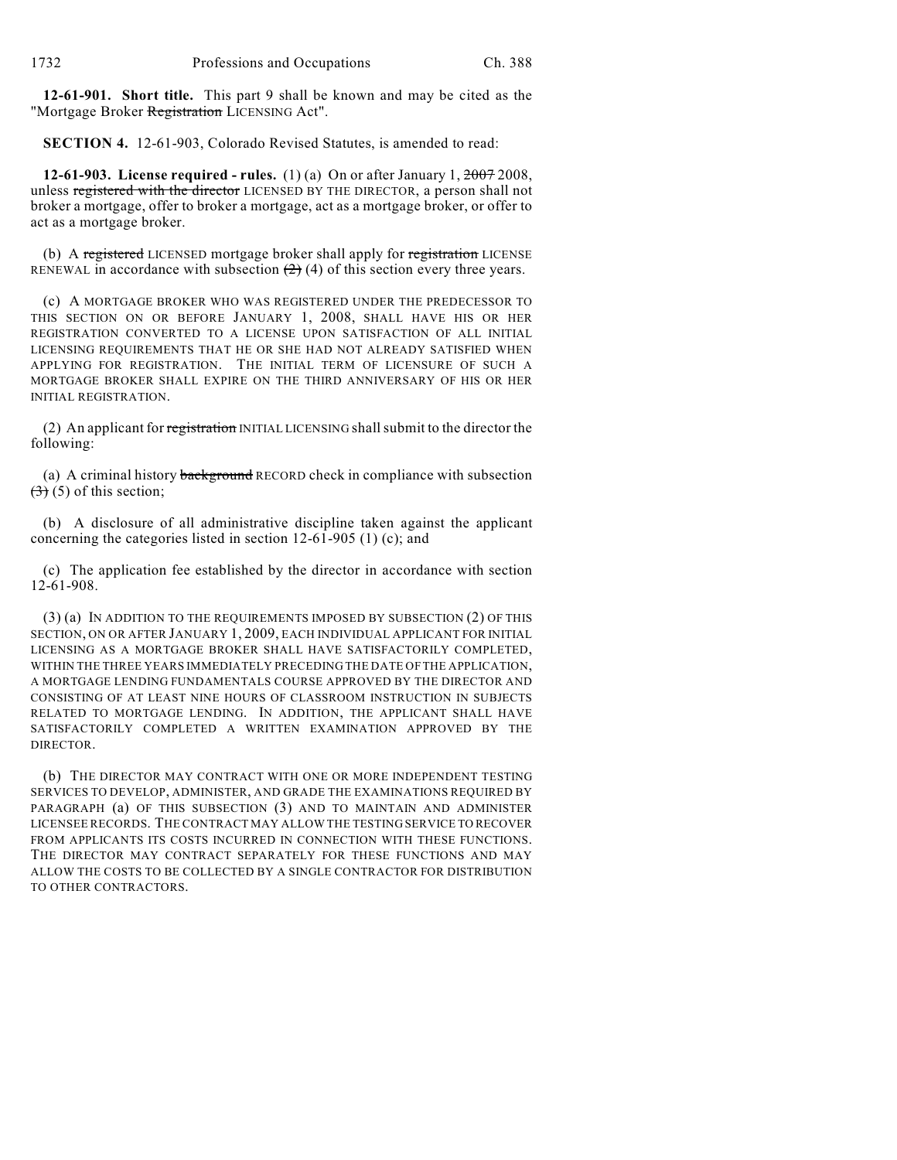**12-61-901. Short title.** This part 9 shall be known and may be cited as the "Mortgage Broker Registration LICENSING Act".

**SECTION 4.** 12-61-903, Colorado Revised Statutes, is amended to read:

**12-61-903. License required - rules.** (1) (a) On or after January 1, 2007 2008, unless registered with the director LICENSED BY THE DIRECTOR, a person shall not broker a mortgage, offer to broker a mortgage, act as a mortgage broker, or offer to act as a mortgage broker.

(b) A registered LICENSED mortgage broker shall apply for registration LICENSE RENEWAL in accordance with subsection  $(2)$  (4) of this section every three years.

(c) A MORTGAGE BROKER WHO WAS REGISTERED UNDER THE PREDECESSOR TO THIS SECTION ON OR BEFORE JANUARY 1, 2008, SHALL HAVE HIS OR HER REGISTRATION CONVERTED TO A LICENSE UPON SATISFACTION OF ALL INITIAL LICENSING REQUIREMENTS THAT HE OR SHE HAD NOT ALREADY SATISFIED WHEN APPLYING FOR REGISTRATION. THE INITIAL TERM OF LICENSURE OF SUCH A MORTGAGE BROKER SHALL EXPIRE ON THE THIRD ANNIVERSARY OF HIS OR HER INITIAL REGISTRATION.

(2) An applicant for registration INITIAL LICENSING shall submit to the director the following:

(a) A criminal history background RECORD check in compliance with subsection  $(3)$  (5) of this section;

(b) A disclosure of all administrative discipline taken against the applicant concerning the categories listed in section 12-61-905 (1) (c); and

(c) The application fee established by the director in accordance with section 12-61-908.

(3) (a) IN ADDITION TO THE REQUIREMENTS IMPOSED BY SUBSECTION (2) OF THIS SECTION, ON OR AFTER JANUARY 1, 2009, EACH INDIVIDUAL APPLICANT FOR INITIAL LICENSING AS A MORTGAGE BROKER SHALL HAVE SATISFACTORILY COMPLETED, WITHIN THE THREE YEARS IMMEDIATELY PRECEDING THE DATE OF THE APPLICATION, A MORTGAGE LENDING FUNDAMENTALS COURSE APPROVED BY THE DIRECTOR AND CONSISTING OF AT LEAST NINE HOURS OF CLASSROOM INSTRUCTION IN SUBJECTS RELATED TO MORTGAGE LENDING. IN ADDITION, THE APPLICANT SHALL HAVE SATISFACTORILY COMPLETED A WRITTEN EXAMINATION APPROVED BY THE DIRECTOR.

(b) THE DIRECTOR MAY CONTRACT WITH ONE OR MORE INDEPENDENT TESTING SERVICES TO DEVELOP, ADMINISTER, AND GRADE THE EXAMINATIONS REQUIRED BY PARAGRAPH (a) OF THIS SUBSECTION (3) AND TO MAINTAIN AND ADMINISTER LICENSEE RECORDS. THE CONTRACT MAY ALLOW THE TESTING SERVICE TO RECOVER FROM APPLICANTS ITS COSTS INCURRED IN CONNECTION WITH THESE FUNCTIONS. THE DIRECTOR MAY CONTRACT SEPARATELY FOR THESE FUNCTIONS AND MAY ALLOW THE COSTS TO BE COLLECTED BY A SINGLE CONTRACTOR FOR DISTRIBUTION TO OTHER CONTRACTORS.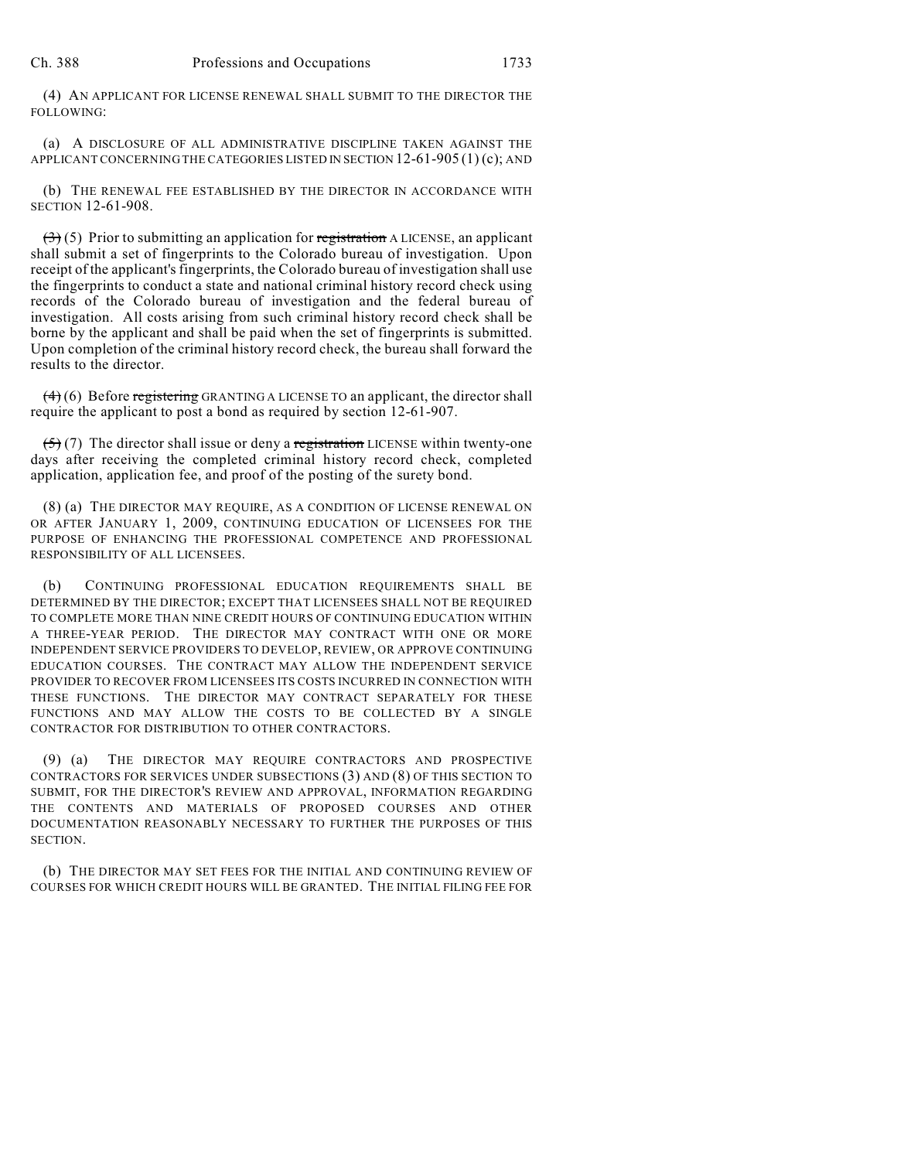(4) AN APPLICANT FOR LICENSE RENEWAL SHALL SUBMIT TO THE DIRECTOR THE FOLLOWING:

(a) A DISCLOSURE OF ALL ADMINISTRATIVE DISCIPLINE TAKEN AGAINST THE APPLICANT CONCERNING THE CATEGORIES LISTED IN SECTION 12-61-905 (1) (c); AND

(b) THE RENEWAL FEE ESTABLISHED BY THE DIRECTOR IN ACCORDANCE WITH SECTION 12-61-908.

 $(3)$  (5) Prior to submitting an application for registration A LICENSE, an applicant shall submit a set of fingerprints to the Colorado bureau of investigation. Upon receipt of the applicant's fingerprints, the Colorado bureau of investigation shall use the fingerprints to conduct a state and national criminal history record check using records of the Colorado bureau of investigation and the federal bureau of investigation. All costs arising from such criminal history record check shall be borne by the applicant and shall be paid when the set of fingerprints is submitted. Upon completion of the criminal history record check, the bureau shall forward the results to the director.

 $(4)$  (6) Before registering GRANTING A LICENSE TO an applicant, the director shall require the applicant to post a bond as required by section 12-61-907.

 $(5)(7)$  The director shall issue or deny a registration LICENSE within twenty-one days after receiving the completed criminal history record check, completed application, application fee, and proof of the posting of the surety bond.

(8) (a) THE DIRECTOR MAY REQUIRE, AS A CONDITION OF LICENSE RENEWAL ON OR AFTER JANUARY 1, 2009, CONTINUING EDUCATION OF LICENSEES FOR THE PURPOSE OF ENHANCING THE PROFESSIONAL COMPETENCE AND PROFESSIONAL RESPONSIBILITY OF ALL LICENSEES.

(b) CONTINUING PROFESSIONAL EDUCATION REQUIREMENTS SHALL BE DETERMINED BY THE DIRECTOR; EXCEPT THAT LICENSEES SHALL NOT BE REQUIRED TO COMPLETE MORE THAN NINE CREDIT HOURS OF CONTINUING EDUCATION WITHIN A THREE-YEAR PERIOD. THE DIRECTOR MAY CONTRACT WITH ONE OR MORE INDEPENDENT SERVICE PROVIDERS TO DEVELOP, REVIEW, OR APPROVE CONTINUING EDUCATION COURSES. THE CONTRACT MAY ALLOW THE INDEPENDENT SERVICE PROVIDER TO RECOVER FROM LICENSEES ITS COSTS INCURRED IN CONNECTION WITH THESE FUNCTIONS. THE DIRECTOR MAY CONTRACT SEPARATELY FOR THESE FUNCTIONS AND MAY ALLOW THE COSTS TO BE COLLECTED BY A SINGLE CONTRACTOR FOR DISTRIBUTION TO OTHER CONTRACTORS.

(9) (a) THE DIRECTOR MAY REQUIRE CONTRACTORS AND PROSPECTIVE CONTRACTORS FOR SERVICES UNDER SUBSECTIONS (3) AND (8) OF THIS SECTION TO SUBMIT, FOR THE DIRECTOR'S REVIEW AND APPROVAL, INFORMATION REGARDING THE CONTENTS AND MATERIALS OF PROPOSED COURSES AND OTHER DOCUMENTATION REASONABLY NECESSARY TO FURTHER THE PURPOSES OF THIS SECTION.

(b) THE DIRECTOR MAY SET FEES FOR THE INITIAL AND CONTINUING REVIEW OF COURSES FOR WHICH CREDIT HOURS WILL BE GRANTED. THE INITIAL FILING FEE FOR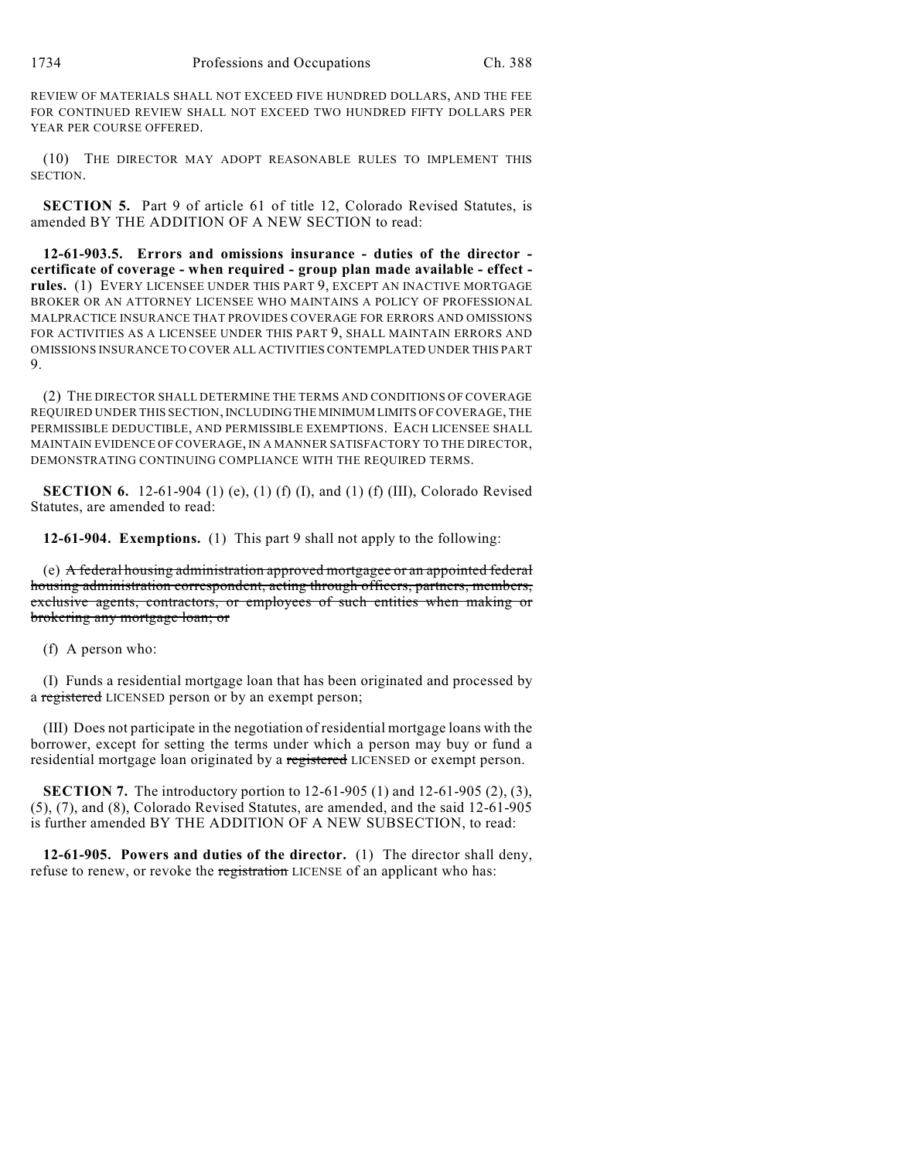REVIEW OF MATERIALS SHALL NOT EXCEED FIVE HUNDRED DOLLARS, AND THE FEE FOR CONTINUED REVIEW SHALL NOT EXCEED TWO HUNDRED FIFTY DOLLARS PER YEAR PER COURSE OFFERED.

(10) THE DIRECTOR MAY ADOPT REASONABLE RULES TO IMPLEMENT THIS SECTION.

**SECTION 5.** Part 9 of article 61 of title 12, Colorado Revised Statutes, is amended BY THE ADDITION OF A NEW SECTION to read:

**12-61-903.5. Errors and omissions insurance - duties of the director certificate of coverage - when required - group plan made available - effect rules.** (1) EVERY LICENSEE UNDER THIS PART 9, EXCEPT AN INACTIVE MORTGAGE BROKER OR AN ATTORNEY LICENSEE WHO MAINTAINS A POLICY OF PROFESSIONAL MALPRACTICE INSURANCE THAT PROVIDES COVERAGE FOR ERRORS AND OMISSIONS FOR ACTIVITIES AS A LICENSEE UNDER THIS PART 9, SHALL MAINTAIN ERRORS AND OMISSIONS INSURANCE TO COVER ALL ACTIVITIES CONTEMPLATED UNDER THIS PART 9.

(2) THE DIRECTOR SHALL DETERMINE THE TERMS AND CONDITIONS OF COVERAGE REQUIRED UNDER THIS SECTION, INCLUDING THE MINIMUM LIMITS OF COVERAGE, THE PERMISSIBLE DEDUCTIBLE, AND PERMISSIBLE EXEMPTIONS. EACH LICENSEE SHALL MAINTAIN EVIDENCE OF COVERAGE, IN A MANNER SATISFACTORY TO THE DIRECTOR, DEMONSTRATING CONTINUING COMPLIANCE WITH THE REQUIRED TERMS.

**SECTION 6.** 12-61-904 (1) (e), (1) (f) (I), and (1) (f) (III), Colorado Revised Statutes, are amended to read:

**12-61-904. Exemptions.** (1) This part 9 shall not apply to the following:

(e) A federal housing administration approved mortgagee or an appointed federal housing administration correspondent, acting through officers, partners, members, exclusive agents, contractors, or employees of such entities when making or brokering any mortgage loan; or

(f) A person who:

(I) Funds a residential mortgage loan that has been originated and processed by a registered LICENSED person or by an exempt person;

(III) Does not participate in the negotiation of residential mortgage loans with the borrower, except for setting the terms under which a person may buy or fund a residential mortgage loan originated by a registered LICENSED or exempt person.

**SECTION 7.** The introductory portion to 12-61-905 (1) and 12-61-905 (2), (3), (5), (7), and (8), Colorado Revised Statutes, are amended, and the said 12-61-905 is further amended BY THE ADDITION OF A NEW SUBSECTION, to read:

**12-61-905. Powers and duties of the director.** (1) The director shall deny, refuse to renew, or revoke the registration LICENSE of an applicant who has: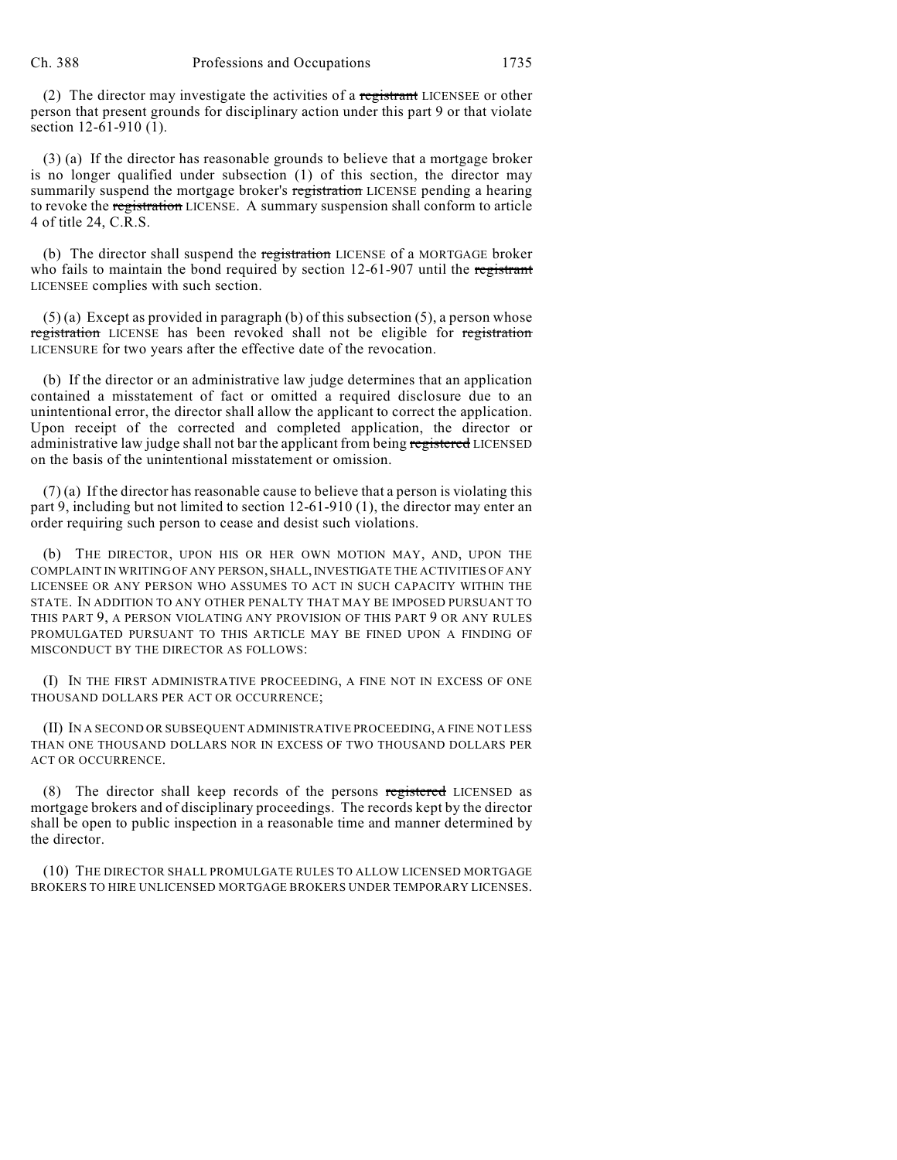(2) The director may investigate the activities of a registrant LICENSEE or other person that present grounds for disciplinary action under this part 9 or that violate section 12-61-910 (1).

(3) (a) If the director has reasonable grounds to believe that a mortgage broker is no longer qualified under subsection (1) of this section, the director may summarily suspend the mortgage broker's registration LICENSE pending a hearing to revoke the registration LICENSE. A summary suspension shall conform to article 4 of title 24, C.R.S.

(b) The director shall suspend the registration LICENSE of a MORTGAGE broker who fails to maintain the bond required by section 12-61-907 until the registrant LICENSEE complies with such section.

 $(5)$  (a) Except as provided in paragraph (b) of this subsection (5), a person whose registration LICENSE has been revoked shall not be eligible for registration LICENSURE for two years after the effective date of the revocation.

(b) If the director or an administrative law judge determines that an application contained a misstatement of fact or omitted a required disclosure due to an unintentional error, the director shall allow the applicant to correct the application. Upon receipt of the corrected and completed application, the director or administrative law judge shall not bar the applicant from being registered LICENSED on the basis of the unintentional misstatement or omission.

(7) (a) If the director has reasonable cause to believe that a person is violating this part 9, including but not limited to section 12-61-910 (1), the director may enter an order requiring such person to cease and desist such violations.

(b) THE DIRECTOR, UPON HIS OR HER OWN MOTION MAY, AND, UPON THE COMPLAINT IN WRITING OF ANY PERSON, SHALL, INVESTIGATE THE ACTIVITIES OF ANY LICENSEE OR ANY PERSON WHO ASSUMES TO ACT IN SUCH CAPACITY WITHIN THE STATE. IN ADDITION TO ANY OTHER PENALTY THAT MAY BE IMPOSED PURSUANT TO THIS PART 9, A PERSON VIOLATING ANY PROVISION OF THIS PART 9 OR ANY RULES PROMULGATED PURSUANT TO THIS ARTICLE MAY BE FINED UPON A FINDING OF MISCONDUCT BY THE DIRECTOR AS FOLLOWS:

(I) IN THE FIRST ADMINISTRATIVE PROCEEDING, A FINE NOT IN EXCESS OF ONE THOUSAND DOLLARS PER ACT OR OCCURRENCE;

(II) IN A SECOND OR SUBSEQUENT ADMINISTRATIVE PROCEEDING, A FINE NOT LESS THAN ONE THOUSAND DOLLARS NOR IN EXCESS OF TWO THOUSAND DOLLARS PER ACT OR OCCURRENCE.

(8) The director shall keep records of the persons registered LICENSED as mortgage brokers and of disciplinary proceedings. The records kept by the director shall be open to public inspection in a reasonable time and manner determined by the director.

(10) THE DIRECTOR SHALL PROMULGATE RULES TO ALLOW LICENSED MORTGAGE BROKERS TO HIRE UNLICENSED MORTGAGE BROKERS UNDER TEMPORARY LICENSES.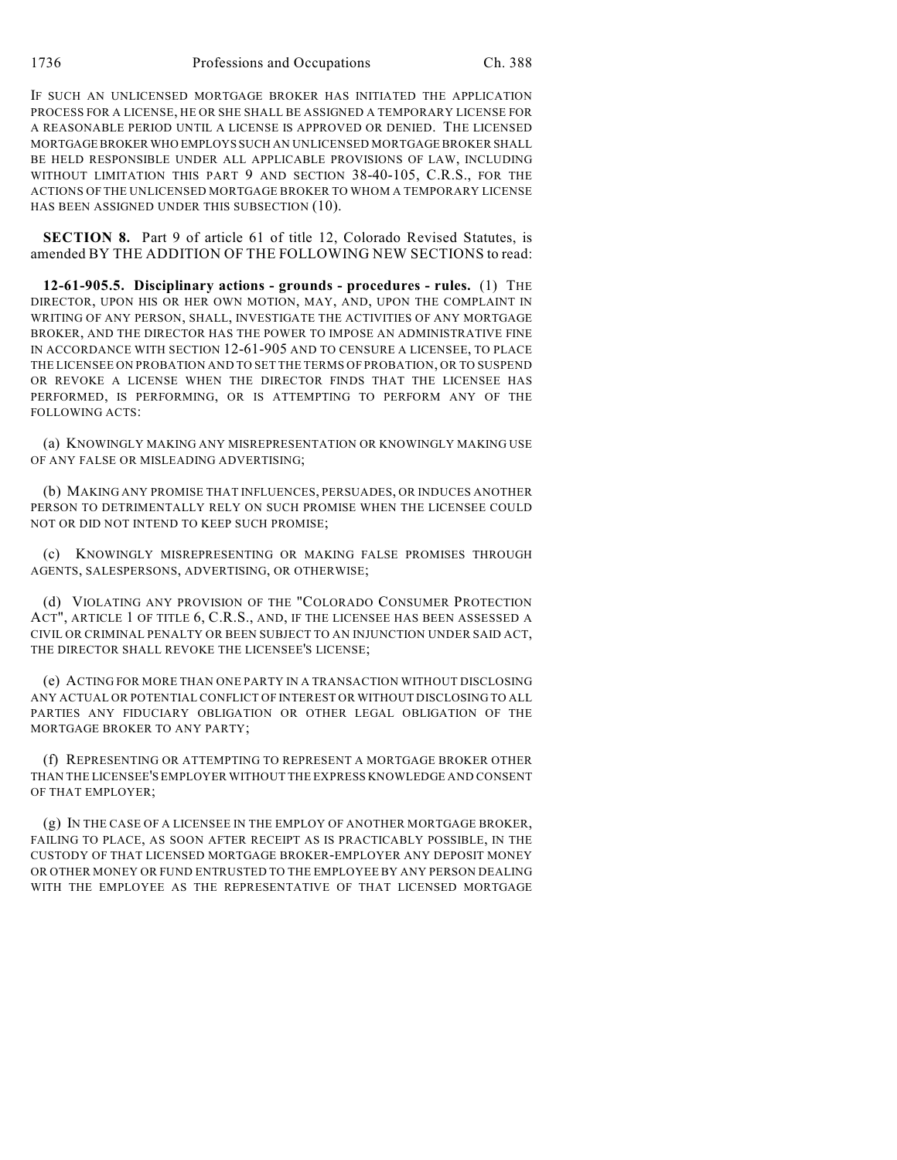IF SUCH AN UNLICENSED MORTGAGE BROKER HAS INITIATED THE APPLICATION PROCESS FOR A LICENSE, HE OR SHE SHALL BE ASSIGNED A TEMPORARY LICENSE FOR A REASONABLE PERIOD UNTIL A LICENSE IS APPROVED OR DENIED. THE LICENSED MORTGAGE BROKER WHO EMPLOYS SUCH AN UNLICENSED MORTGAGE BROKER SHALL BE HELD RESPONSIBLE UNDER ALL APPLICABLE PROVISIONS OF LAW, INCLUDING WITHOUT LIMITATION THIS PART 9 AND SECTION 38-40-105, C.R.S., FOR THE ACTIONS OF THE UNLICENSED MORTGAGE BROKER TO WHOM A TEMPORARY LICENSE HAS BEEN ASSIGNED UNDER THIS SUBSECTION (10).

**SECTION 8.** Part 9 of article 61 of title 12, Colorado Revised Statutes, is amended BY THE ADDITION OF THE FOLLOWING NEW SECTIONS to read:

**12-61-905.5. Disciplinary actions - grounds - procedures - rules.** (1) THE DIRECTOR, UPON HIS OR HER OWN MOTION, MAY, AND, UPON THE COMPLAINT IN WRITING OF ANY PERSON, SHALL, INVESTIGATE THE ACTIVITIES OF ANY MORTGAGE BROKER, AND THE DIRECTOR HAS THE POWER TO IMPOSE AN ADMINISTRATIVE FINE IN ACCORDANCE WITH SECTION 12-61-905 AND TO CENSURE A LICENSEE, TO PLACE THE LICENSEE ON PROBATION AND TO SET THE TERMS OF PROBATION, OR TO SUSPEND OR REVOKE A LICENSE WHEN THE DIRECTOR FINDS THAT THE LICENSEE HAS PERFORMED, IS PERFORMING, OR IS ATTEMPTING TO PERFORM ANY OF THE FOLLOWING ACTS:

(a) KNOWINGLY MAKING ANY MISREPRESENTATION OR KNOWINGLY MAKING USE OF ANY FALSE OR MISLEADING ADVERTISING;

(b) MAKING ANY PROMISE THAT INFLUENCES, PERSUADES, OR INDUCES ANOTHER PERSON TO DETRIMENTALLY RELY ON SUCH PROMISE WHEN THE LICENSEE COULD NOT OR DID NOT INTEND TO KEEP SUCH PROMISE;

(c) KNOWINGLY MISREPRESENTING OR MAKING FALSE PROMISES THROUGH AGENTS, SALESPERSONS, ADVERTISING, OR OTHERWISE;

(d) VIOLATING ANY PROVISION OF THE "COLORADO CONSUMER PROTECTION ACT", ARTICLE 1 OF TITLE 6, C.R.S., AND, IF THE LICENSEE HAS BEEN ASSESSED A CIVIL OR CRIMINAL PENALTY OR BEEN SUBJECT TO AN INJUNCTION UNDER SAID ACT, THE DIRECTOR SHALL REVOKE THE LICENSEE'S LICENSE;

(e) ACTING FOR MORE THAN ONE PARTY IN A TRANSACTION WITHOUT DISCLOSING ANY ACTUAL OR POTENTIAL CONFLICT OF INTEREST OR WITHOUT DISCLOSING TO ALL PARTIES ANY FIDUCIARY OBLIGATION OR OTHER LEGAL OBLIGATION OF THE MORTGAGE BROKER TO ANY PARTY;

(f) REPRESENTING OR ATTEMPTING TO REPRESENT A MORTGAGE BROKER OTHER THAN THE LICENSEE'S EMPLOYER WITHOUT THE EXPRESS KNOWLEDGE AND CONSENT OF THAT EMPLOYER;

(g) IN THE CASE OF A LICENSEE IN THE EMPLOY OF ANOTHER MORTGAGE BROKER, FAILING TO PLACE, AS SOON AFTER RECEIPT AS IS PRACTICABLY POSSIBLE, IN THE CUSTODY OF THAT LICENSED MORTGAGE BROKER-EMPLOYER ANY DEPOSIT MONEY OR OTHER MONEY OR FUND ENTRUSTED TO THE EMPLOYEE BY ANY PERSON DEALING WITH THE EMPLOYEE AS THE REPRESENTATIVE OF THAT LICENSED MORTGAGE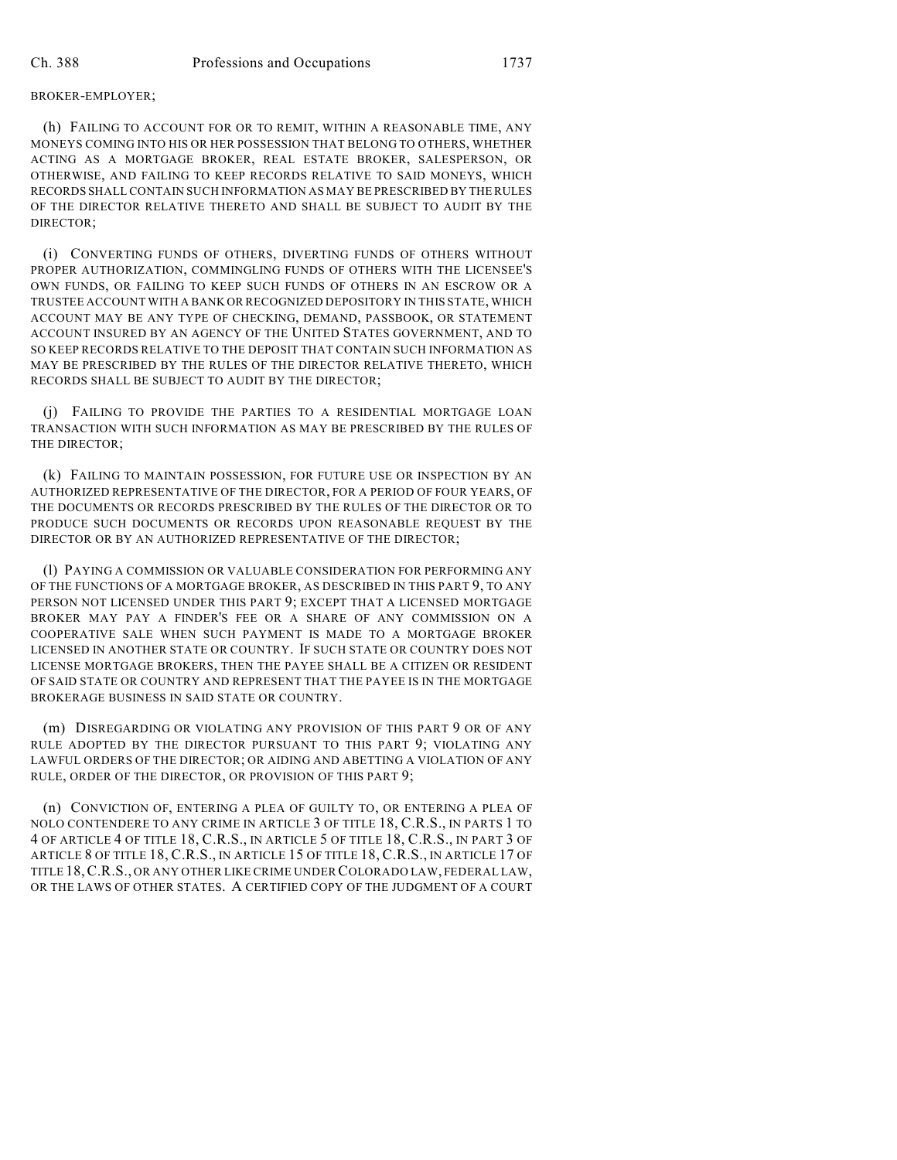## BROKER-EMPLOYER;

(h) FAILING TO ACCOUNT FOR OR TO REMIT, WITHIN A REASONABLE TIME, ANY MONEYS COMING INTO HIS OR HER POSSESSION THAT BELONG TO OTHERS, WHETHER ACTING AS A MORTGAGE BROKER, REAL ESTATE BROKER, SALESPERSON, OR OTHERWISE, AND FAILING TO KEEP RECORDS RELATIVE TO SAID MONEYS, WHICH RECORDS SHALL CONTAIN SUCH INFORMATION AS MAY BE PRESCRIBED BY THE RULES OF THE DIRECTOR RELATIVE THERETO AND SHALL BE SUBJECT TO AUDIT BY THE DIRECTOR;

(i) CONVERTING FUNDS OF OTHERS, DIVERTING FUNDS OF OTHERS WITHOUT PROPER AUTHORIZATION, COMMINGLING FUNDS OF OTHERS WITH THE LICENSEE'S OWN FUNDS, OR FAILING TO KEEP SUCH FUNDS OF OTHERS IN AN ESCROW OR A TRUSTEE ACCOUNT WITH A BANK OR RECOGNIZED DEPOSITORY IN THIS STATE, WHICH ACCOUNT MAY BE ANY TYPE OF CHECKING, DEMAND, PASSBOOK, OR STATEMENT ACCOUNT INSURED BY AN AGENCY OF THE UNITED STATES GOVERNMENT, AND TO SO KEEP RECORDS RELATIVE TO THE DEPOSIT THAT CONTAIN SUCH INFORMATION AS MAY BE PRESCRIBED BY THE RULES OF THE DIRECTOR RELATIVE THERETO, WHICH RECORDS SHALL BE SUBJECT TO AUDIT BY THE DIRECTOR;

(j) FAILING TO PROVIDE THE PARTIES TO A RESIDENTIAL MORTGAGE LOAN TRANSACTION WITH SUCH INFORMATION AS MAY BE PRESCRIBED BY THE RULES OF THE DIRECTOR;

(k) FAILING TO MAINTAIN POSSESSION, FOR FUTURE USE OR INSPECTION BY AN AUTHORIZED REPRESENTATIVE OF THE DIRECTOR, FOR A PERIOD OF FOUR YEARS, OF THE DOCUMENTS OR RECORDS PRESCRIBED BY THE RULES OF THE DIRECTOR OR TO PRODUCE SUCH DOCUMENTS OR RECORDS UPON REASONABLE REQUEST BY THE DIRECTOR OR BY AN AUTHORIZED REPRESENTATIVE OF THE DIRECTOR;

(l) PAYING A COMMISSION OR VALUABLE CONSIDERATION FOR PERFORMING ANY OF THE FUNCTIONS OF A MORTGAGE BROKER, AS DESCRIBED IN THIS PART 9, TO ANY PERSON NOT LICENSED UNDER THIS PART 9; EXCEPT THAT A LICENSED MORTGAGE BROKER MAY PAY A FINDER'S FEE OR A SHARE OF ANY COMMISSION ON A COOPERATIVE SALE WHEN SUCH PAYMENT IS MADE TO A MORTGAGE BROKER LICENSED IN ANOTHER STATE OR COUNTRY. IF SUCH STATE OR COUNTRY DOES NOT LICENSE MORTGAGE BROKERS, THEN THE PAYEE SHALL BE A CITIZEN OR RESIDENT OF SAID STATE OR COUNTRY AND REPRESENT THAT THE PAYEE IS IN THE MORTGAGE BROKERAGE BUSINESS IN SAID STATE OR COUNTRY.

(m) DISREGARDING OR VIOLATING ANY PROVISION OF THIS PART 9 OR OF ANY RULE ADOPTED BY THE DIRECTOR PURSUANT TO THIS PART 9; VIOLATING ANY LAWFUL ORDERS OF THE DIRECTOR; OR AIDING AND ABETTING A VIOLATION OF ANY RULE, ORDER OF THE DIRECTOR, OR PROVISION OF THIS PART 9;

(n) CONVICTION OF, ENTERING A PLEA OF GUILTY TO, OR ENTERING A PLEA OF NOLO CONTENDERE TO ANY CRIME IN ARTICLE 3 OF TITLE 18, C.R.S., IN PARTS 1 TO 4 OF ARTICLE 4 OF TITLE 18, C.R.S., IN ARTICLE 5 OF TITLE 18, C.R.S., IN PART 3 OF ARTICLE 8 OF TITLE 18, C.R.S., IN ARTICLE 15 OF TITLE 18, C.R.S., IN ARTICLE 17 OF TITLE 18,C.R.S., OR ANY OTHER LIKE CRIME UNDER COLORADO LAW, FEDERAL LAW, OR THE LAWS OF OTHER STATES. A CERTIFIED COPY OF THE JUDGMENT OF A COURT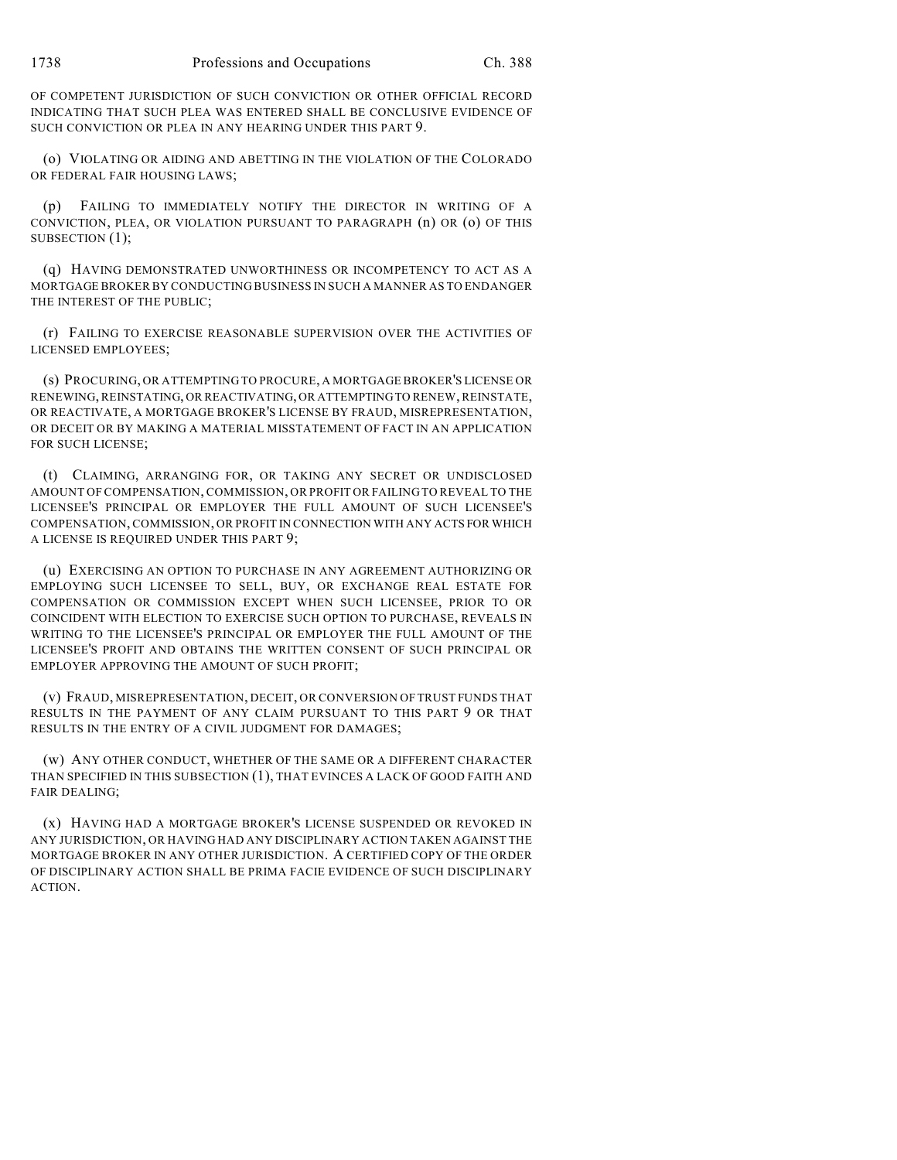OF COMPETENT JURISDICTION OF SUCH CONVICTION OR OTHER OFFICIAL RECORD INDICATING THAT SUCH PLEA WAS ENTERED SHALL BE CONCLUSIVE EVIDENCE OF SUCH CONVICTION OR PLEA IN ANY HEARING UNDER THIS PART 9.

(o) VIOLATING OR AIDING AND ABETTING IN THE VIOLATION OF THE COLORADO OR FEDERAL FAIR HOUSING LAWS;

(p) FAILING TO IMMEDIATELY NOTIFY THE DIRECTOR IN WRITING OF A CONVICTION, PLEA, OR VIOLATION PURSUANT TO PARAGRAPH (n) OR (o) OF THIS SUBSECTION (1);

(q) HAVING DEMONSTRATED UNWORTHINESS OR INCOMPETENCY TO ACT AS A MORTGAGE BROKER BY CONDUCTING BUSINESS IN SUCH A MANNER AS TO ENDANGER THE INTEREST OF THE PUBLIC;

(r) FAILING TO EXERCISE REASONABLE SUPERVISION OVER THE ACTIVITIES OF LICENSED EMPLOYEES;

(s) PROCURING, OR ATTEMPTING TO PROCURE, A MORTGAGE BROKER'S LICENSE OR RENEWING, REINSTATING, OR REACTIVATING, OR ATTEMPTING TO RENEW, REINSTATE, OR REACTIVATE, A MORTGAGE BROKER'S LICENSE BY FRAUD, MISREPRESENTATION, OR DECEIT OR BY MAKING A MATERIAL MISSTATEMENT OF FACT IN AN APPLICATION FOR SUCH LICENSE;

(t) CLAIMING, ARRANGING FOR, OR TAKING ANY SECRET OR UNDISCLOSED AMOUNT OF COMPENSATION, COMMISSION, OR PROFIT OR FAILING TO REVEAL TO THE LICENSEE'S PRINCIPAL OR EMPLOYER THE FULL AMOUNT OF SUCH LICENSEE'S COMPENSATION, COMMISSION, OR PROFIT IN CONNECTION WITH ANY ACTS FOR WHICH A LICENSE IS REQUIRED UNDER THIS PART 9;

(u) EXERCISING AN OPTION TO PURCHASE IN ANY AGREEMENT AUTHORIZING OR EMPLOYING SUCH LICENSEE TO SELL, BUY, OR EXCHANGE REAL ESTATE FOR COMPENSATION OR COMMISSION EXCEPT WHEN SUCH LICENSEE, PRIOR TO OR COINCIDENT WITH ELECTION TO EXERCISE SUCH OPTION TO PURCHASE, REVEALS IN WRITING TO THE LICENSEE'S PRINCIPAL OR EMPLOYER THE FULL AMOUNT OF THE LICENSEE'S PROFIT AND OBTAINS THE WRITTEN CONSENT OF SUCH PRINCIPAL OR EMPLOYER APPROVING THE AMOUNT OF SUCH PROFIT;

(v) FRAUD, MISREPRESENTATION, DECEIT, OR CONVERSION OF TRUST FUNDS THAT RESULTS IN THE PAYMENT OF ANY CLAIM PURSUANT TO THIS PART 9 OR THAT RESULTS IN THE ENTRY OF A CIVIL JUDGMENT FOR DAMAGES;

(w) ANY OTHER CONDUCT, WHETHER OF THE SAME OR A DIFFERENT CHARACTER THAN SPECIFIED IN THIS SUBSECTION (1), THAT EVINCES A LACK OF GOOD FAITH AND FAIR DEALING;

(x) HAVING HAD A MORTGAGE BROKER'S LICENSE SUSPENDED OR REVOKED IN ANY JURISDICTION, OR HAVING HAD ANY DISCIPLINARY ACTION TAKEN AGAINST THE MORTGAGE BROKER IN ANY OTHER JURISDICTION. A CERTIFIED COPY OF THE ORDER OF DISCIPLINARY ACTION SHALL BE PRIMA FACIE EVIDENCE OF SUCH DISCIPLINARY ACTION.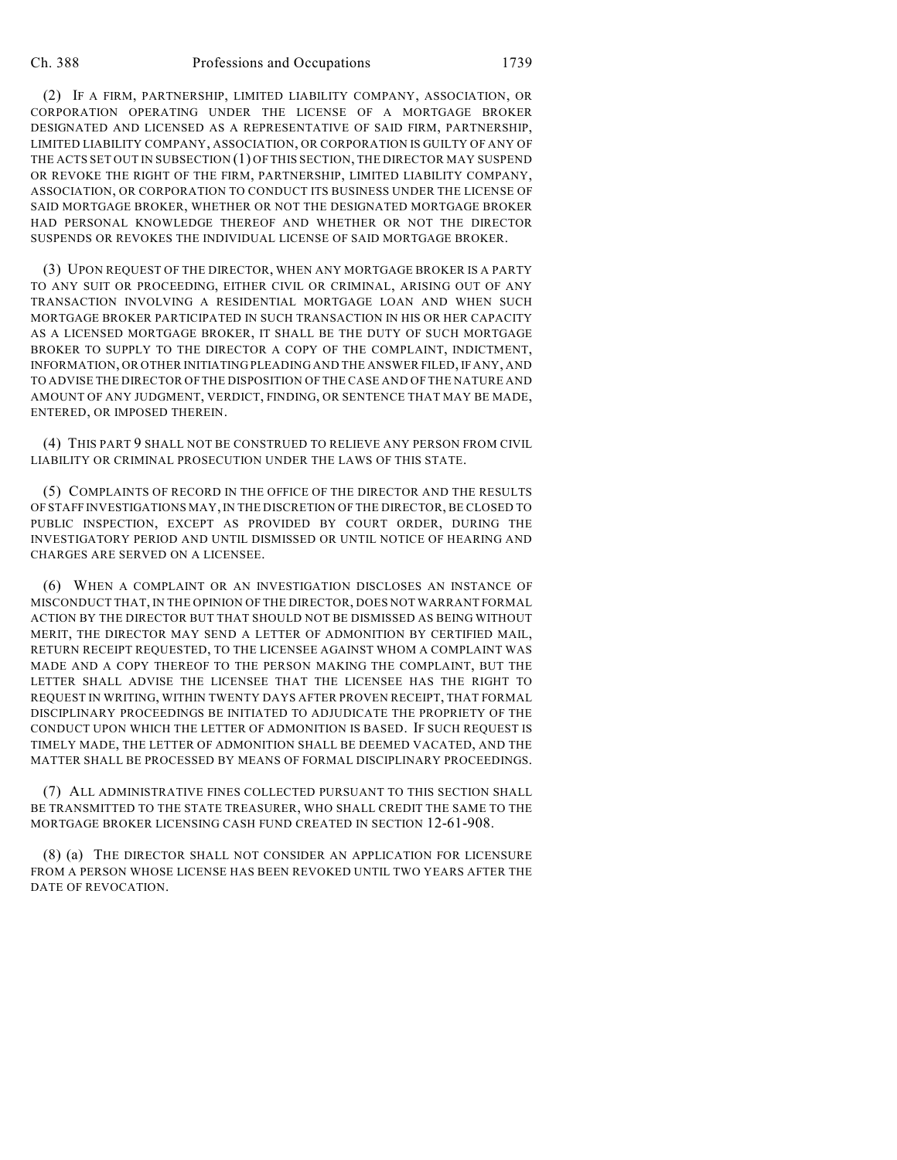(2) IF A FIRM, PARTNERSHIP, LIMITED LIABILITY COMPANY, ASSOCIATION, OR CORPORATION OPERATING UNDER THE LICENSE OF A MORTGAGE BROKER DESIGNATED AND LICENSED AS A REPRESENTATIVE OF SAID FIRM, PARTNERSHIP, LIMITED LIABILITY COMPANY, ASSOCIATION, OR CORPORATION IS GUILTY OF ANY OF THE ACTS SET OUT IN SUBSECTION (1) OF THIS SECTION, THE DIRECTOR MAY SUSPEND OR REVOKE THE RIGHT OF THE FIRM, PARTNERSHIP, LIMITED LIABILITY COMPANY, ASSOCIATION, OR CORPORATION TO CONDUCT ITS BUSINESS UNDER THE LICENSE OF SAID MORTGAGE BROKER, WHETHER OR NOT THE DESIGNATED MORTGAGE BROKER HAD PERSONAL KNOWLEDGE THEREOF AND WHETHER OR NOT THE DIRECTOR SUSPENDS OR REVOKES THE INDIVIDUAL LICENSE OF SAID MORTGAGE BROKER.

(3) UPON REQUEST OF THE DIRECTOR, WHEN ANY MORTGAGE BROKER IS A PARTY TO ANY SUIT OR PROCEEDING, EITHER CIVIL OR CRIMINAL, ARISING OUT OF ANY TRANSACTION INVOLVING A RESIDENTIAL MORTGAGE LOAN AND WHEN SUCH MORTGAGE BROKER PARTICIPATED IN SUCH TRANSACTION IN HIS OR HER CAPACITY AS A LICENSED MORTGAGE BROKER, IT SHALL BE THE DUTY OF SUCH MORTGAGE BROKER TO SUPPLY TO THE DIRECTOR A COPY OF THE COMPLAINT, INDICTMENT, INFORMATION, OR OTHER INITIATING PLEADING AND THE ANSWER FILED, IF ANY, AND TO ADVISE THE DIRECTOR OF THE DISPOSITION OF THE CASE AND OF THE NATURE AND AMOUNT OF ANY JUDGMENT, VERDICT, FINDING, OR SENTENCE THAT MAY BE MADE, ENTERED, OR IMPOSED THEREIN.

(4) THIS PART 9 SHALL NOT BE CONSTRUED TO RELIEVE ANY PERSON FROM CIVIL LIABILITY OR CRIMINAL PROSECUTION UNDER THE LAWS OF THIS STATE.

(5) COMPLAINTS OF RECORD IN THE OFFICE OF THE DIRECTOR AND THE RESULTS OF STAFF INVESTIGATIONS MAY, IN THE DISCRETION OF THE DIRECTOR, BE CLOSED TO PUBLIC INSPECTION, EXCEPT AS PROVIDED BY COURT ORDER, DURING THE INVESTIGATORY PERIOD AND UNTIL DISMISSED OR UNTIL NOTICE OF HEARING AND CHARGES ARE SERVED ON A LICENSEE.

(6) WHEN A COMPLAINT OR AN INVESTIGATION DISCLOSES AN INSTANCE OF MISCONDUCT THAT, IN THE OPINION OF THE DIRECTOR, DOES NOT WARRANT FORMAL ACTION BY THE DIRECTOR BUT THAT SHOULD NOT BE DISMISSED AS BEING WITHOUT MERIT, THE DIRECTOR MAY SEND A LETTER OF ADMONITION BY CERTIFIED MAIL, RETURN RECEIPT REQUESTED, TO THE LICENSEE AGAINST WHOM A COMPLAINT WAS MADE AND A COPY THEREOF TO THE PERSON MAKING THE COMPLAINT, BUT THE LETTER SHALL ADVISE THE LICENSEE THAT THE LICENSEE HAS THE RIGHT TO REQUEST IN WRITING, WITHIN TWENTY DAYS AFTER PROVEN RECEIPT, THAT FORMAL DISCIPLINARY PROCEEDINGS BE INITIATED TO ADJUDICATE THE PROPRIETY OF THE CONDUCT UPON WHICH THE LETTER OF ADMONITION IS BASED. IF SUCH REQUEST IS TIMELY MADE, THE LETTER OF ADMONITION SHALL BE DEEMED VACATED, AND THE MATTER SHALL BE PROCESSED BY MEANS OF FORMAL DISCIPLINARY PROCEEDINGS.

(7) ALL ADMINISTRATIVE FINES COLLECTED PURSUANT TO THIS SECTION SHALL BE TRANSMITTED TO THE STATE TREASURER, WHO SHALL CREDIT THE SAME TO THE MORTGAGE BROKER LICENSING CASH FUND CREATED IN SECTION 12-61-908.

(8) (a) THE DIRECTOR SHALL NOT CONSIDER AN APPLICATION FOR LICENSURE FROM A PERSON WHOSE LICENSE HAS BEEN REVOKED UNTIL TWO YEARS AFTER THE DATE OF REVOCATION.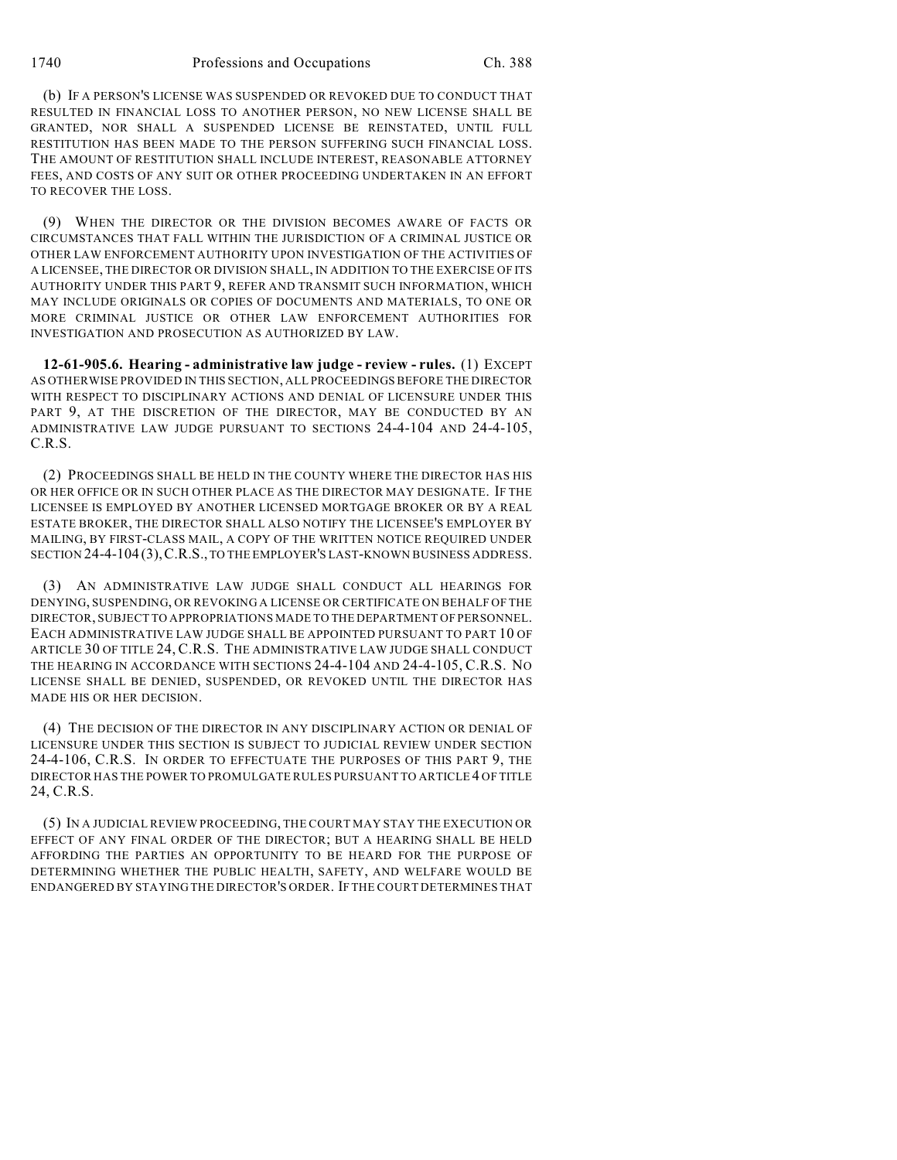1740 Professions and Occupations Ch. 388

(b) IF A PERSON'S LICENSE WAS SUSPENDED OR REVOKED DUE TO CONDUCT THAT RESULTED IN FINANCIAL LOSS TO ANOTHER PERSON, NO NEW LICENSE SHALL BE GRANTED, NOR SHALL A SUSPENDED LICENSE BE REINSTATED, UNTIL FULL RESTITUTION HAS BEEN MADE TO THE PERSON SUFFERING SUCH FINANCIAL LOSS. THE AMOUNT OF RESTITUTION SHALL INCLUDE INTEREST, REASONABLE ATTORNEY FEES, AND COSTS OF ANY SUIT OR OTHER PROCEEDING UNDERTAKEN IN AN EFFORT TO RECOVER THE LOSS.

(9) WHEN THE DIRECTOR OR THE DIVISION BECOMES AWARE OF FACTS OR CIRCUMSTANCES THAT FALL WITHIN THE JURISDICTION OF A CRIMINAL JUSTICE OR OTHER LAW ENFORCEMENT AUTHORITY UPON INVESTIGATION OF THE ACTIVITIES OF A LICENSEE, THE DIRECTOR OR DIVISION SHALL, IN ADDITION TO THE EXERCISE OF ITS AUTHORITY UNDER THIS PART 9, REFER AND TRANSMIT SUCH INFORMATION, WHICH MAY INCLUDE ORIGINALS OR COPIES OF DOCUMENTS AND MATERIALS, TO ONE OR MORE CRIMINAL JUSTICE OR OTHER LAW ENFORCEMENT AUTHORITIES FOR INVESTIGATION AND PROSECUTION AS AUTHORIZED BY LAW.

**12-61-905.6. Hearing - administrative law judge - review - rules.** (1) EXCEPT AS OTHERWISE PROVIDED IN THIS SECTION, ALL PROCEEDINGS BEFORE THE DIRECTOR WITH RESPECT TO DISCIPLINARY ACTIONS AND DENIAL OF LICENSURE UNDER THIS PART 9, AT THE DISCRETION OF THE DIRECTOR, MAY BE CONDUCTED BY AN ADMINISTRATIVE LAW JUDGE PURSUANT TO SECTIONS 24-4-104 AND 24-4-105, C.R.S.

(2) PROCEEDINGS SHALL BE HELD IN THE COUNTY WHERE THE DIRECTOR HAS HIS OR HER OFFICE OR IN SUCH OTHER PLACE AS THE DIRECTOR MAY DESIGNATE. IF THE LICENSEE IS EMPLOYED BY ANOTHER LICENSED MORTGAGE BROKER OR BY A REAL ESTATE BROKER, THE DIRECTOR SHALL ALSO NOTIFY THE LICENSEE'S EMPLOYER BY MAILING, BY FIRST-CLASS MAIL, A COPY OF THE WRITTEN NOTICE REQUIRED UNDER SECTION 24-4-104 (3),C.R.S., TO THE EMPLOYER'S LAST-KNOWN BUSINESS ADDRESS.

(3) AN ADMINISTRATIVE LAW JUDGE SHALL CONDUCT ALL HEARINGS FOR DENYING, SUSPENDING, OR REVOKING A LICENSE OR CERTIFICATE ON BEHALF OF THE DIRECTOR, SUBJECT TO APPROPRIATIONS MADE TO THE DEPARTMENT OF PERSONNEL. EACH ADMINISTRATIVE LAW JUDGE SHALL BE APPOINTED PURSUANT TO PART 10 OF ARTICLE 30 OF TITLE 24, C.R.S. THE ADMINISTRATIVE LAW JUDGE SHALL CONDUCT THE HEARING IN ACCORDANCE WITH SECTIONS 24-4-104 AND 24-4-105, C.R.S. NO LICENSE SHALL BE DENIED, SUSPENDED, OR REVOKED UNTIL THE DIRECTOR HAS MADE HIS OR HER DECISION.

(4) THE DECISION OF THE DIRECTOR IN ANY DISCIPLINARY ACTION OR DENIAL OF LICENSURE UNDER THIS SECTION IS SUBJECT TO JUDICIAL REVIEW UNDER SECTION 24-4-106, C.R.S. IN ORDER TO EFFECTUATE THE PURPOSES OF THIS PART 9, THE DIRECTOR HAS THE POWER TO PROMULGATE RULES PURSUANT TO ARTICLE 4 OF TITLE 24, C.R.S.

(5) IN A JUDICIAL REVIEW PROCEEDING, THE COURT MAY STAY THE EXECUTION OR EFFECT OF ANY FINAL ORDER OF THE DIRECTOR; BUT A HEARING SHALL BE HELD AFFORDING THE PARTIES AN OPPORTUNITY TO BE HEARD FOR THE PURPOSE OF DETERMINING WHETHER THE PUBLIC HEALTH, SAFETY, AND WELFARE WOULD BE ENDANGERED BY STAYING THE DIRECTOR'S ORDER. IF THE COURT DETERMINES THAT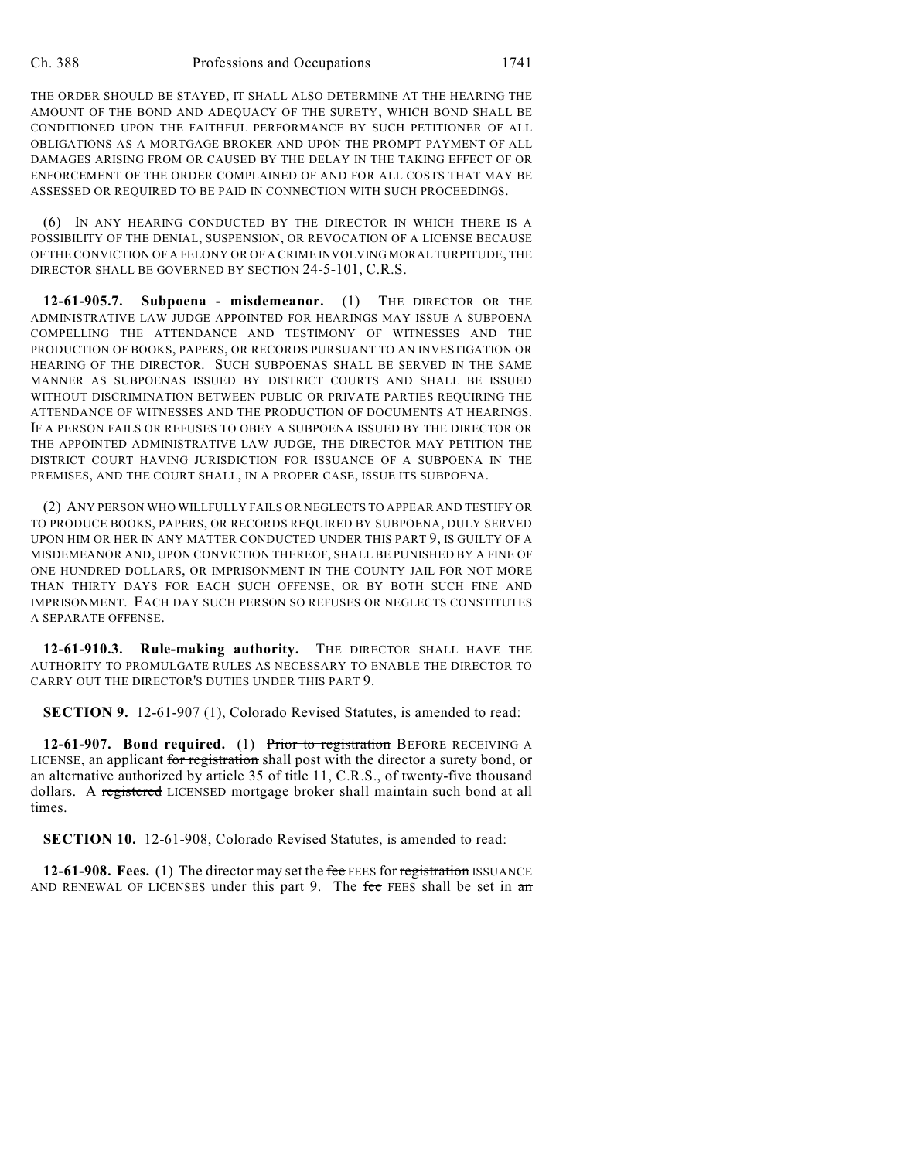THE ORDER SHOULD BE STAYED, IT SHALL ALSO DETERMINE AT THE HEARING THE AMOUNT OF THE BOND AND ADEQUACY OF THE SURETY, WHICH BOND SHALL BE CONDITIONED UPON THE FAITHFUL PERFORMANCE BY SUCH PETITIONER OF ALL OBLIGATIONS AS A MORTGAGE BROKER AND UPON THE PROMPT PAYMENT OF ALL DAMAGES ARISING FROM OR CAUSED BY THE DELAY IN THE TAKING EFFECT OF OR ENFORCEMENT OF THE ORDER COMPLAINED OF AND FOR ALL COSTS THAT MAY BE ASSESSED OR REQUIRED TO BE PAID IN CONNECTION WITH SUCH PROCEEDINGS.

(6) IN ANY HEARING CONDUCTED BY THE DIRECTOR IN WHICH THERE IS A POSSIBILITY OF THE DENIAL, SUSPENSION, OR REVOCATION OF A LICENSE BECAUSE OF THE CONVICTION OF A FELONY OR OF A CRIME INVOLVING MORAL TURPITUDE, THE DIRECTOR SHALL BE GOVERNED BY SECTION 24-5-101, C.R.S.

**12-61-905.7. Subpoena - misdemeanor.** (1) THE DIRECTOR OR THE ADMINISTRATIVE LAW JUDGE APPOINTED FOR HEARINGS MAY ISSUE A SUBPOENA COMPELLING THE ATTENDANCE AND TESTIMONY OF WITNESSES AND THE PRODUCTION OF BOOKS, PAPERS, OR RECORDS PURSUANT TO AN INVESTIGATION OR HEARING OF THE DIRECTOR. SUCH SUBPOENAS SHALL BE SERVED IN THE SAME MANNER AS SUBPOENAS ISSUED BY DISTRICT COURTS AND SHALL BE ISSUED WITHOUT DISCRIMINATION BETWEEN PUBLIC OR PRIVATE PARTIES REQUIRING THE ATTENDANCE OF WITNESSES AND THE PRODUCTION OF DOCUMENTS AT HEARINGS. IF A PERSON FAILS OR REFUSES TO OBEY A SUBPOENA ISSUED BY THE DIRECTOR OR THE APPOINTED ADMINISTRATIVE LAW JUDGE, THE DIRECTOR MAY PETITION THE DISTRICT COURT HAVING JURISDICTION FOR ISSUANCE OF A SUBPOENA IN THE PREMISES, AND THE COURT SHALL, IN A PROPER CASE, ISSUE ITS SUBPOENA.

(2) ANY PERSON WHO WILLFULLY FAILS OR NEGLECTS TO APPEAR AND TESTIFY OR TO PRODUCE BOOKS, PAPERS, OR RECORDS REQUIRED BY SUBPOENA, DULY SERVED UPON HIM OR HER IN ANY MATTER CONDUCTED UNDER THIS PART 9, IS GUILTY OF A MISDEMEANOR AND, UPON CONVICTION THEREOF, SHALL BE PUNISHED BY A FINE OF ONE HUNDRED DOLLARS, OR IMPRISONMENT IN THE COUNTY JAIL FOR NOT MORE THAN THIRTY DAYS FOR EACH SUCH OFFENSE, OR BY BOTH SUCH FINE AND IMPRISONMENT. EACH DAY SUCH PERSON SO REFUSES OR NEGLECTS CONSTITUTES A SEPARATE OFFENSE.

**12-61-910.3. Rule-making authority.** THE DIRECTOR SHALL HAVE THE AUTHORITY TO PROMULGATE RULES AS NECESSARY TO ENABLE THE DIRECTOR TO CARRY OUT THE DIRECTOR'S DUTIES UNDER THIS PART 9.

**SECTION 9.** 12-61-907 (1), Colorado Revised Statutes, is amended to read:

**12-61-907. Bond required.** (1) Prior to registration BEFORE RECEIVING A LICENSE, an applicant for registration shall post with the director a surety bond, or an alternative authorized by article 35 of title 11, C.R.S., of twenty-five thousand dollars. A registered LICENSED mortgage broker shall maintain such bond at all times.

**SECTION 10.** 12-61-908, Colorado Revised Statutes, is amended to read:

**12-61-908. Fees.** (1) The director may set the fee FEES for registration ISSUANCE AND RENEWAL OF LICENSES under this part 9. The fee FEES shall be set in  $\pi$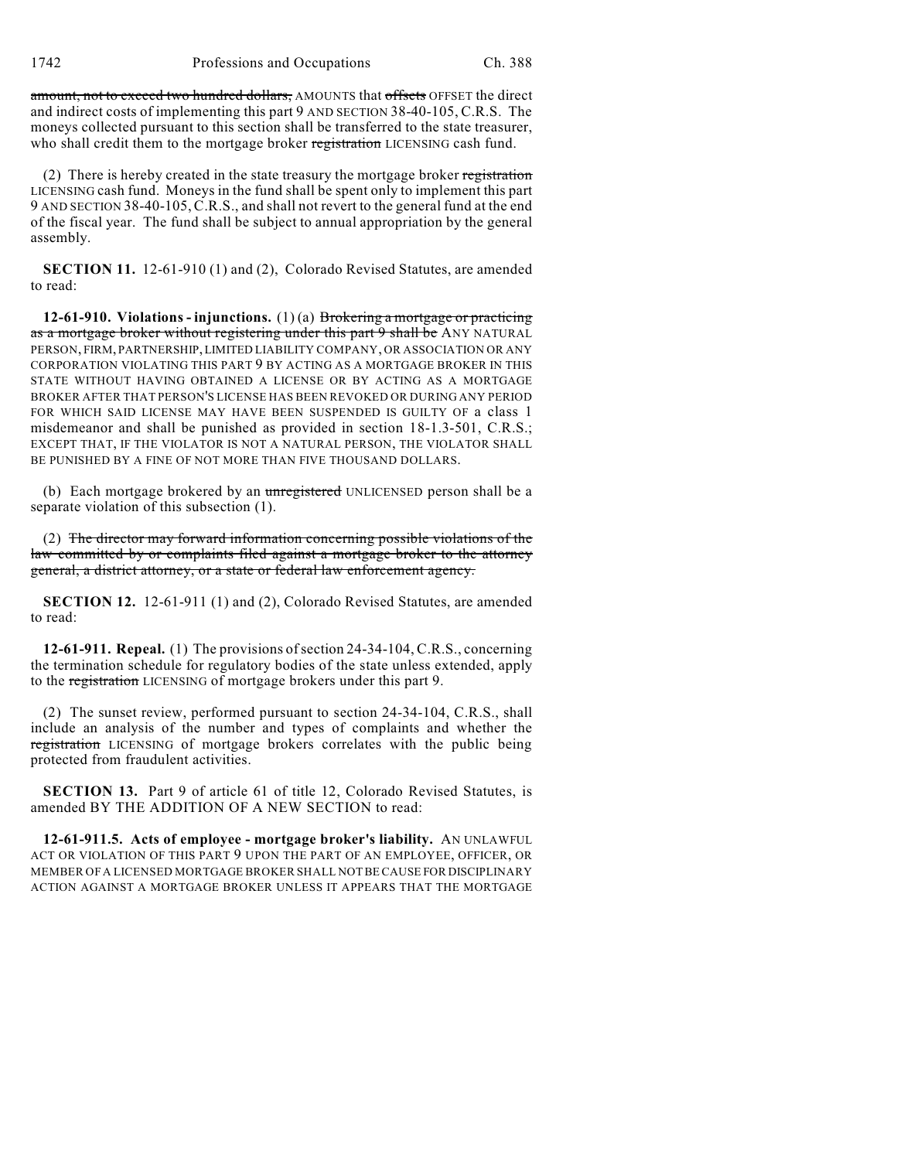1742 Professions and Occupations Ch. 388

amount, not to exceed two hundred dollars, AMOUNTS that offsets OFFSET the direct and indirect costs of implementing this part 9 AND SECTION 38-40-105, C.R.S. The moneys collected pursuant to this section shall be transferred to the state treasurer, who shall credit them to the mortgage broker registration LICENSING cash fund.

(2) There is hereby created in the state treasury the mortgage broker registration LICENSING cash fund. Moneys in the fund shall be spent only to implement this part 9 AND SECTION 38-40-105,C.R.S., and shall not revert to the general fund at the end of the fiscal year. The fund shall be subject to annual appropriation by the general assembly.

**SECTION 11.** 12-61-910 (1) and (2), Colorado Revised Statutes, are amended to read:

**12-61-910. Violations - injunctions.** (1) (a) Brokering a mortgage or practicing as a mortgage broker without registering under this part 9 shall be ANY NATURAL PERSON, FIRM, PARTNERSHIP, LIMITED LIABILITY COMPANY, OR ASSOCIATION OR ANY CORPORATION VIOLATING THIS PART 9 BY ACTING AS A MORTGAGE BROKER IN THIS STATE WITHOUT HAVING OBTAINED A LICENSE OR BY ACTING AS A MORTGAGE BROKER AFTER THAT PERSON'S LICENSE HAS BEEN REVOKED OR DURING ANY PERIOD FOR WHICH SAID LICENSE MAY HAVE BEEN SUSPENDED IS GUILTY OF a class 1 misdemeanor and shall be punished as provided in section 18-1.3-501, C.R.S.; EXCEPT THAT, IF THE VIOLATOR IS NOT A NATURAL PERSON, THE VIOLATOR SHALL BE PUNISHED BY A FINE OF NOT MORE THAN FIVE THOUSAND DOLLARS.

(b) Each mortgage brokered by an unregistered UNLICENSED person shall be a separate violation of this subsection (1).

(2) The director may forward information concerning possible violations of the law committed by or complaints filed against a mortgage broker to the attorney general, a district attorney, or a state or federal law enforcement agency.

**SECTION 12.** 12-61-911 (1) and (2), Colorado Revised Statutes, are amended to read:

**12-61-911. Repeal.** (1) The provisions of section 24-34-104, C.R.S., concerning the termination schedule for regulatory bodies of the state unless extended, apply to the registration LICENSING of mortgage brokers under this part 9.

(2) The sunset review, performed pursuant to section 24-34-104, C.R.S., shall include an analysis of the number and types of complaints and whether the registration LICENSING of mortgage brokers correlates with the public being protected from fraudulent activities.

**SECTION 13.** Part 9 of article 61 of title 12, Colorado Revised Statutes, is amended BY THE ADDITION OF A NEW SECTION to read:

**12-61-911.5. Acts of employee - mortgage broker's liability.** AN UNLAWFUL ACT OR VIOLATION OF THIS PART 9 UPON THE PART OF AN EMPLOYEE, OFFICER, OR MEMBER OF A LICENSED MORTGAGE BROKER SHALL NOT BE CAUSE FOR DISCIPLINARY ACTION AGAINST A MORTGAGE BROKER UNLESS IT APPEARS THAT THE MORTGAGE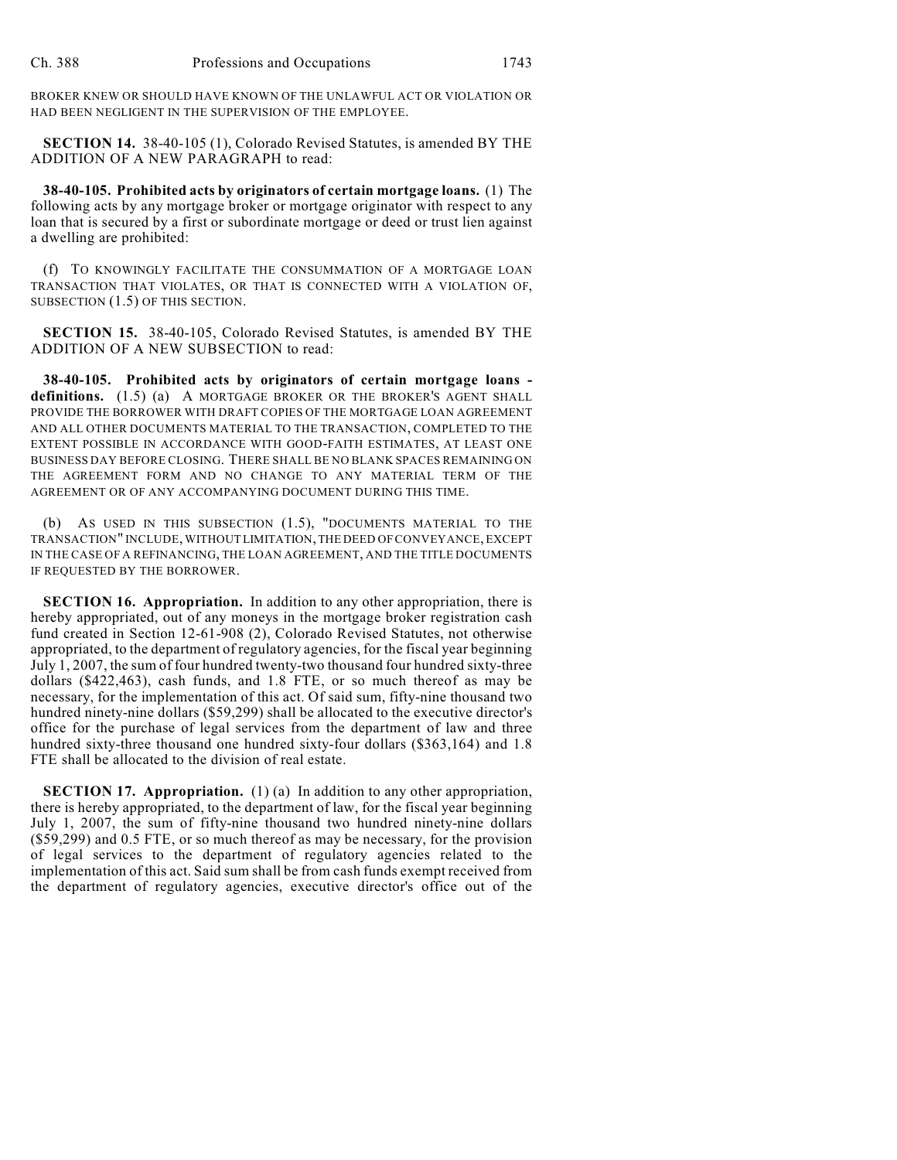BROKER KNEW OR SHOULD HAVE KNOWN OF THE UNLAWFUL ACT OR VIOLATION OR HAD BEEN NEGLIGENT IN THE SUPERVISION OF THE EMPLOYEE.

**SECTION 14.** 38-40-105 (1), Colorado Revised Statutes, is amended BY THE ADDITION OF A NEW PARAGRAPH to read:

**38-40-105. Prohibited acts by originators of certain mortgage loans.** (1) The following acts by any mortgage broker or mortgage originator with respect to any loan that is secured by a first or subordinate mortgage or deed or trust lien against a dwelling are prohibited:

(f) TO KNOWINGLY FACILITATE THE CONSUMMATION OF A MORTGAGE LOAN TRANSACTION THAT VIOLATES, OR THAT IS CONNECTED WITH A VIOLATION OF, SUBSECTION (1.5) OF THIS SECTION.

**SECTION 15.** 38-40-105, Colorado Revised Statutes, is amended BY THE ADDITION OF A NEW SUBSECTION to read:

**38-40-105. Prohibited acts by originators of certain mortgage loans**  definitions. (1.5) (a) A MORTGAGE BROKER OR THE BROKER'S AGENT SHALL PROVIDE THE BORROWER WITH DRAFT COPIES OF THE MORTGAGE LOAN AGREEMENT AND ALL OTHER DOCUMENTS MATERIAL TO THE TRANSACTION, COMPLETED TO THE EXTENT POSSIBLE IN ACCORDANCE WITH GOOD-FAITH ESTIMATES, AT LEAST ONE BUSINESS DAY BEFORE CLOSING. THERE SHALL BE NO BLANK SPACES REMAINING ON THE AGREEMENT FORM AND NO CHANGE TO ANY MATERIAL TERM OF THE AGREEMENT OR OF ANY ACCOMPANYING DOCUMENT DURING THIS TIME.

(b) AS USED IN THIS SUBSECTION (1.5), "DOCUMENTS MATERIAL TO THE TRANSACTION" INCLUDE, WITHOUT LIMITATION, THE DEED OF CONVEYANCE, EXCEPT IN THE CASE OF A REFINANCING, THE LOAN AGREEMENT, AND THE TITLE DOCUMENTS IF REQUESTED BY THE BORROWER.

**SECTION 16. Appropriation.** In addition to any other appropriation, there is hereby appropriated, out of any moneys in the mortgage broker registration cash fund created in Section 12-61-908 (2), Colorado Revised Statutes, not otherwise appropriated, to the department of regulatory agencies, for the fiscal year beginning July 1, 2007, the sum of four hundred twenty-two thousand four hundred sixty-three dollars (\$422,463), cash funds, and 1.8 FTE, or so much thereof as may be necessary, for the implementation of this act. Of said sum, fifty-nine thousand two hundred ninety-nine dollars (\$59,299) shall be allocated to the executive director's office for the purchase of legal services from the department of law and three hundred sixty-three thousand one hundred sixty-four dollars (\$363,164) and 1.8 FTE shall be allocated to the division of real estate.

**SECTION 17. Appropriation.** (1) (a) In addition to any other appropriation, there is hereby appropriated, to the department of law, for the fiscal year beginning July 1, 2007, the sum of fifty-nine thousand two hundred ninety-nine dollars (\$59,299) and 0.5 FTE, or so much thereof as may be necessary, for the provision of legal services to the department of regulatory agencies related to the implementation of this act. Said sum shall be from cash funds exempt received from the department of regulatory agencies, executive director's office out of the